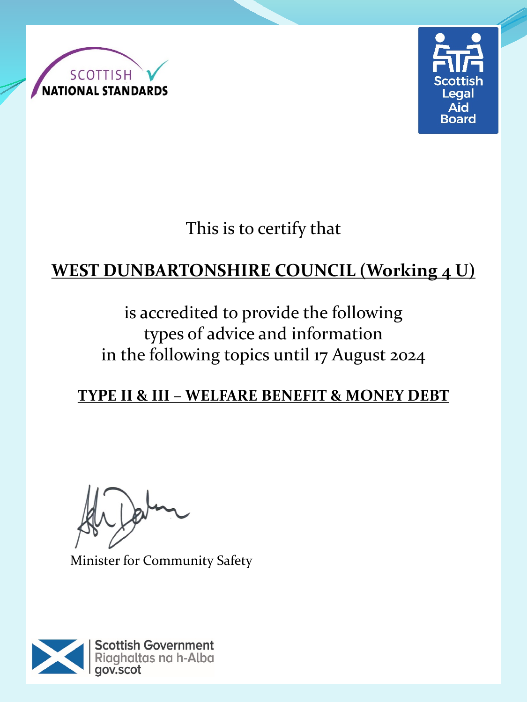



This is to certify that

# **WEST DUNBARTONSHIRE COUNCIL (Working 4 U)**

is accredited to provide the following types of advice and information in the following topics until 17 August 2024

#### **TYPE II & III – WELFARE BENEFIT & MONEY DEBT**

 $\sqrt{2}$ 

Minister for Community Safety

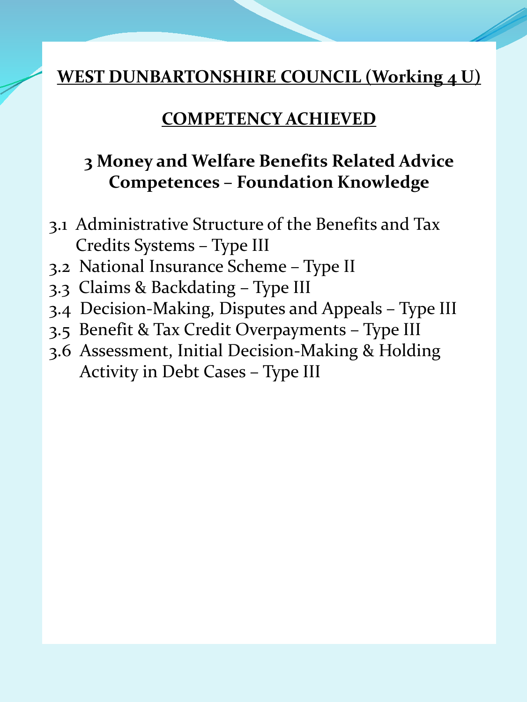#### **COMPETENCY ACHIEVED**

#### **3 Money and Welfare Benefits Related Advice Competences – Foundation Knowledge**

- 3.1 Administrative Structure of the Benefits and Tax Credits Systems – Type III
- 3.2 National Insurance Scheme Type II
- 3.3 Claims & Backdating Type III
- 3.4 Decision-Making, Disputes and Appeals Type III
- 3.5 Benefit & Tax Credit Overpayments Type III
- 3.6 Assessment, Initial Decision-Making & Holding Activity in Debt Cases – Type III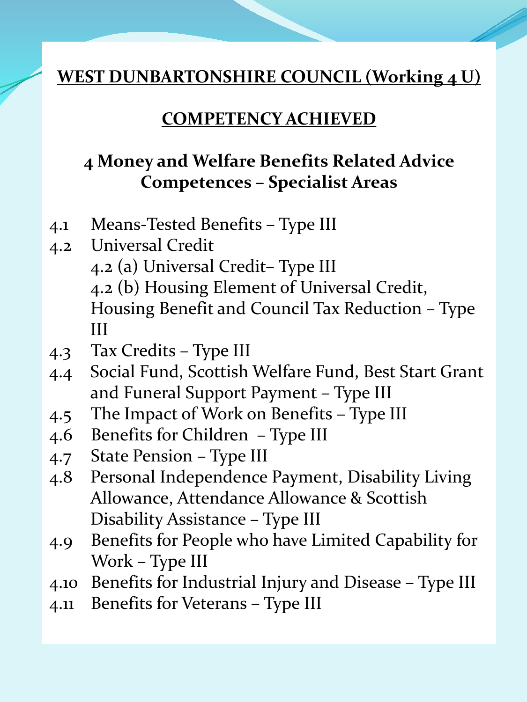#### **COMPETENCY ACHIEVED**

## **4 Money and Welfare Benefits Related Advice Competences – Specialist Areas**

- 4.1 Means-Tested Benefits Type III
- 4.2 Universal Credit 4.2 (a) Universal Credit– Type III 4.2 (b) Housing Element of Universal Credit, Housing Benefit and Council Tax Reduction – Type III
- 4.3 Tax Credits Type III
- 4.4 Social Fund, Scottish Welfare Fund, Best Start Grant and Funeral Support Payment – Type III
- 4.5 The Impact of Work on Benefits Type III
- 4.6 Benefits for Children Type III
- 4.7 State Pension Type III
- 4.8 Personal Independence Payment, Disability Living Allowance, Attendance Allowance & Scottish Disability Assistance – Type III
- 4.9 Benefits for People who have Limited Capability for Work – Type III
- 4.10 Benefits for Industrial Injury and Disease Type III
- 4.11 Benefits for Veterans Type III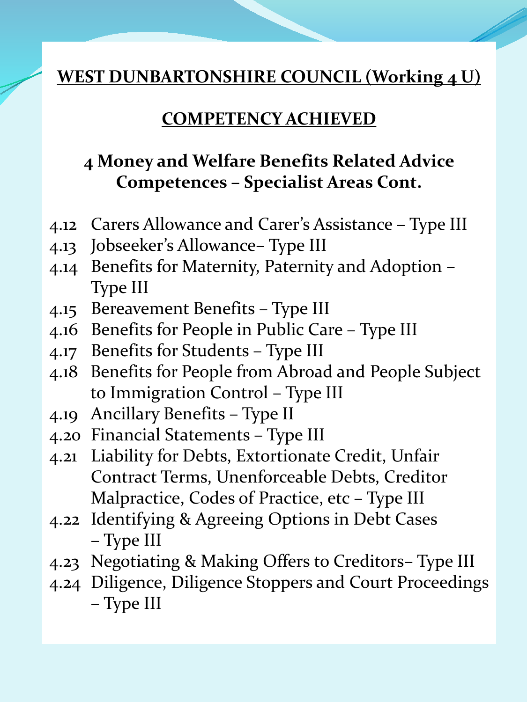#### **COMPETENCY ACHIEVED**

## **4 Money and Welfare Benefits Related Advice Competences – Specialist Areas Cont.**

- 4.12 Carers Allowance and Carer's Assistance Type III
- 4.13 Jobseeker's Allowance– Type III
- 4.14 Benefits for Maternity, Paternity and Adoption Type III
- 4.15 Bereavement Benefits Type III
- 4.16 Benefits for People in Public Care Type III
- 4.17 Benefits for Students Type III
- 4.18 Benefits for People from Abroad and People Subject to Immigration Control – Type III
- 4.19 Ancillary Benefits Type II
- 4.20 Financial Statements Type III
- 4.21 Liability for Debts, Extortionate Credit, Unfair Contract Terms, Unenforceable Debts, Creditor Malpractice, Codes of Practice, etc – Type III
- 4.22 Identifying & Agreeing Options in Debt Cases – Type III
- 4.23 Negotiating & Making Offers to Creditors– Type III
- 4.24 Diligence, Diligence Stoppers and Court Proceedings – Type III